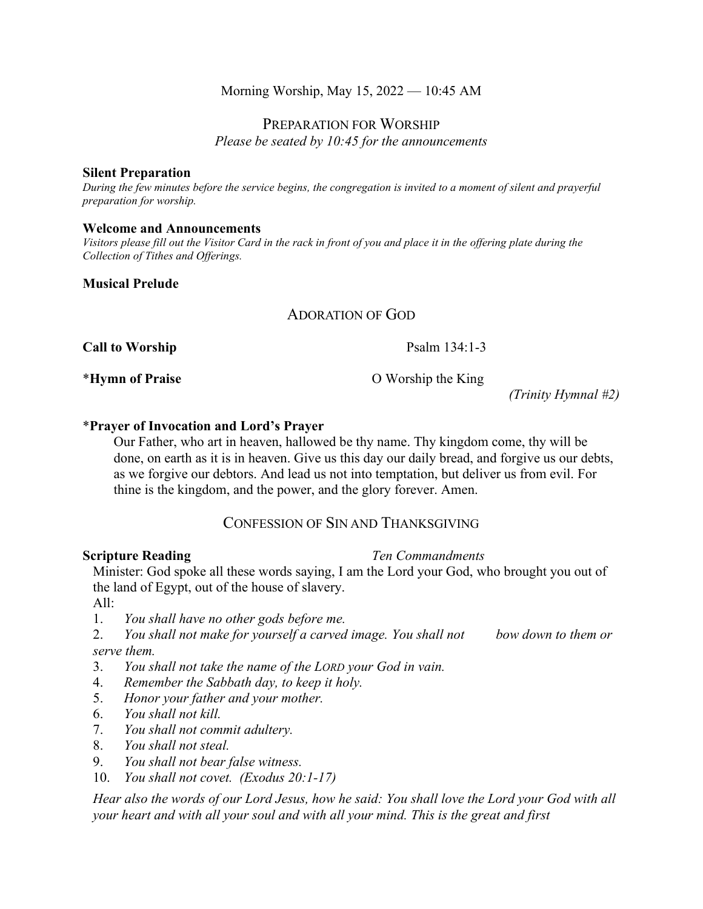# Morning Worship, May 15, 2022 — 10:45 AM

# PREPARATION FOR WORSHIP

*Please be seated by 10:45 for the announcements*

### **Silent Preparation**

*During the few minutes before the service begins, the congregation is invited to a moment of silent and prayerful preparation for worship.*

### **Welcome and Announcements**

*Visitors please fill out the Visitor Card in the rack in front of you and place it in the offering plate during the Collection of Tithes and Offerings.*

## **Musical Prelude**

# ADORATION OF GOD

**Call to Worship**  Psalm 134:1-3

\***Hymn of Praise** O Worship the King

*(Trinity Hymnal #2)*

## \***Prayer of Invocation and Lord's Prayer**

Our Father, who art in heaven, hallowed be thy name. Thy kingdom come, thy will be done, on earth as it is in heaven. Give us this day our daily bread, and forgive us our debts, as we forgive our debtors. And lead us not into temptation, but deliver us from evil. For thine is the kingdom, and the power, and the glory forever. Amen.

# CONFESSION OF SIN AND THANKSGIVING

**Scripture Reading** *Ten Commandments*

Minister: God spoke all these words saying, I am the Lord your God, who brought you out of the land of Egypt, out of the house of slavery.

 $All:$ 

1. *You shall have no other gods before me.*

2. *You shall not make for yourself a carved image. You shall not bow down to them or serve them.*

- 3. *You shall not take the name of the LORD your God in vain.*
- 4. *Remember the Sabbath day, to keep it holy.*
- 5. *Honor your father and your mother.*
- 6. *You shall not kill.*
- 7. *You shall not commit adultery.*
- 8. *You shall not steal.*
- 9. *You shall not bear false witness.*
- 10. *You shall not covet. (Exodus 20:1-17)*

*Hear also the words of our Lord Jesus, how he said: You shall love the Lord your God with all your heart and with all your soul and with all your mind. This is the great and first*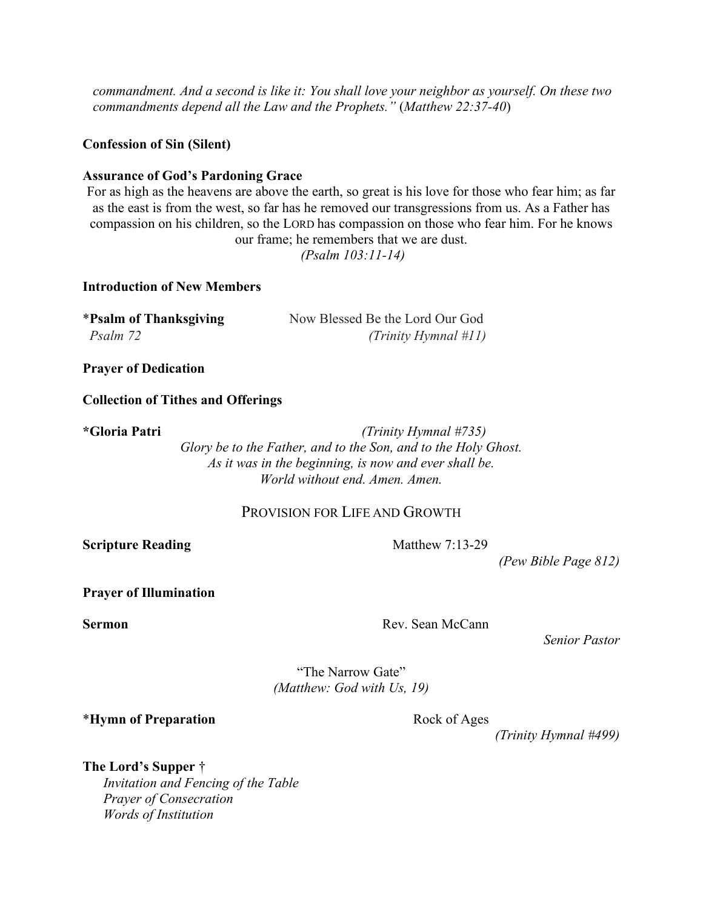*commandment. And a second is like it: You shall love your neighbor as yourself. On these two commandments depend all the Law and the Prophets."* (*Matthew 22:37-40*)

**Confession of Sin (Silent)**

## **Assurance of God's Pardoning Grace**

For as high as the heavens are above the earth, so great is his love for those who fear him; as far as the east is from the west, so far has he removed our transgressions from us. As a Father has compassion on his children, so the LORD has compassion on those who fear him. For he knows our frame; he remembers that we are dust.

*(Psalm 103:11-14)*

## **Introduction of New Members**

| *Psalm of Thanksgiving | Now Blessed Be the Lord Our God |
|------------------------|---------------------------------|
| Psalm 72               | (Trinity Hymnal #11)            |

**Prayer of Dedication**

### **Collection of Tithes and Offerings**

**\*Gloria Patri** *(Trinity Hymnal #735) Glory be to the Father, and to the Son, and to the Holy Ghost. As it was in the beginning, is now and ever shall be. World without end. Amen. Amen.*

# PROVISION FOR LIFE AND GROWTH

**Scripture Reading** Matthew 7:13-29

*(Pew Bible Page 812)*

**Prayer of Illumination**

**Sermon** Rev. Sean McCann

*Senior Pastor*

"The Narrow Gate" *(Matthew: God with Us, 19)*

\***Hymn of Preparation** Rock of Ages

*(Trinity Hymnal #499)*

**The Lord's Supper** † *Invitation and Fencing of the Table Prayer of Consecration Words of Institution*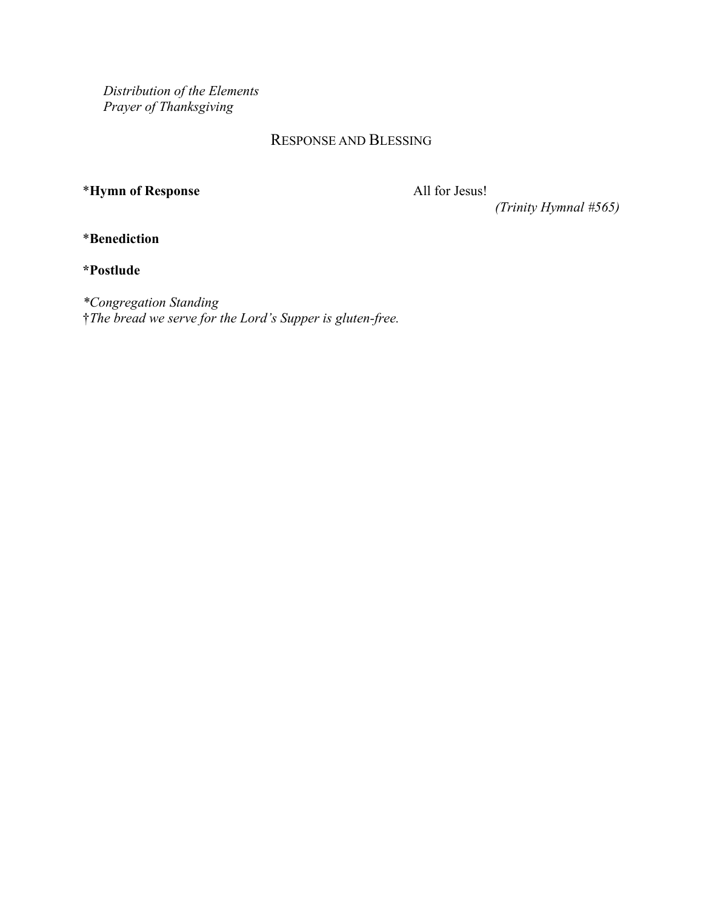*Distribution of the Elements Prayer of Thanksgiving*

# RESPONSE AND BLESSING

# \***Hymn of Response** All for Jesus!

*(Trinity Hymnal #565)*

\***Benediction**

**\*Postlude**

*\*Congregation Standing* †*The bread we serve for the Lord's Supper is gluten-free.*